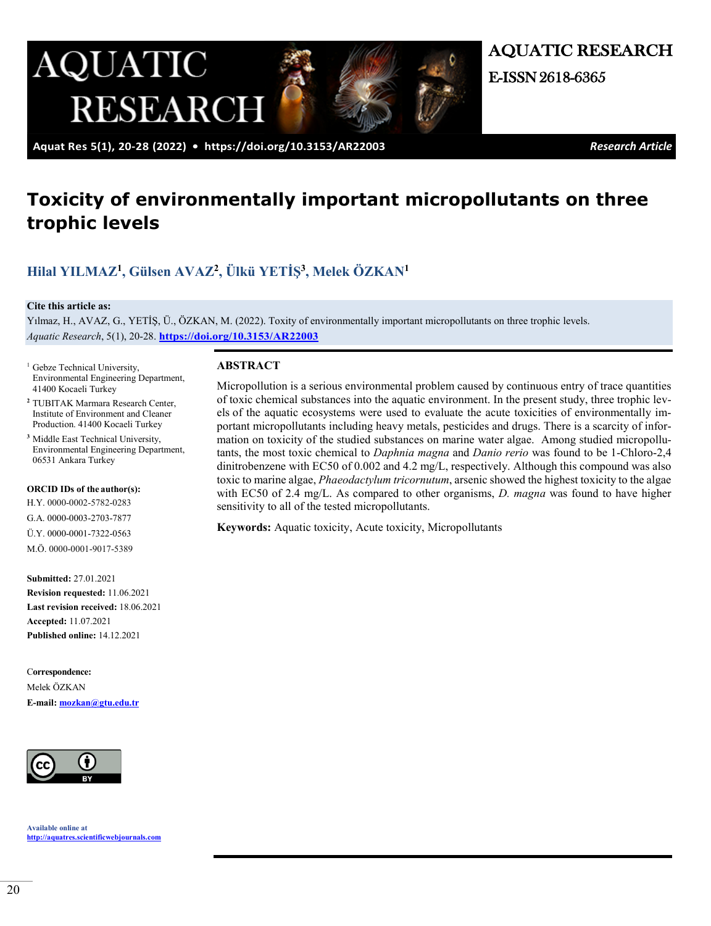

AQUATIC RESEARCH

 **Aquat Res 5(1), 20-28 (2022) • <https://doi.org/10.3153/AR22003>***Research Article*

# **Toxicity of environmentally important micropollutants on three trophic levels**

## **[Hilal YILMAZ1](https://orcid.org/0000-0002-5782-0283), [Gülsen AVAZ2](https://orcid.org/0000-0003-2703-7877), [Ülkü YETİŞ](https://orcid.org/0000-0001-7322-0563)3, [Melek ÖZKAN1](https://orcid.org/0000-0001-9017-5389)**

#### **Cite this article as:**

Yılmaz, H., AVAZ, G., YETİŞ, Ü., ÖZKAN, M. (2022). Toxity of environmentally important micropollutants on three trophic levels. *Aquatic Research*, 5(1), 20-28. **<https://doi.org/10.3153/AR22003>**

- <sup>1</sup> Gebze Technical University, Environmental Engineering Department, 41400 Kocaeli Turkey
- **<sup>2</sup>**TUBITAK Marmara Research Center, Institute of Environment and Cleaner Production. 41400 Kocaeli Turkey
- <sup>3</sup> Middle East Technical University, Environmental Engineering Department, 06531 Ankara Turkey

#### **ORCID IDs of the author(s):**

H.Y. 0000-0002-5782-0283 G.A. 0000-0003-2703-7877 Ü.Y. 0000-0001-7322-0563 M.Ö. 0000-0001-9017-5389

**Submitted:** 27.01.2021 **Revision requested:** 11.06.2021 **Last revision received:** 18.06.2021 **Accepted:** 11.07.2021 **Published online:** 14.12.2021

C**orrespondence:**  Melek ÖZKAN

**E-mail: [mozkan@gtu.edu.tr](mailto:mozkan@gtu.edu.tr)**



**Available online at [http://aquatres.scientificwebjournals.com](http://aquatres.scientificwebjournals.com/)**

### **ABSTRACT**

Micropollution is a serious environmental problem caused by continuous entry of trace quantities of toxic chemical substances into the aquatic environment. In the present study, three [trophic lev](about:blank)[els](about:blank) of the aquatic ecosystems were used to evaluate the acute toxicities of environmentally important micropollutants including heavy metals, pesticides and drugs. There is a scarcity of information on toxicity of the studied substances on marine water algae. Among studied micropollutants, the most toxic chemical to *Daphnia magna* and *Danio rerio* was found to be 1-Chloro-2,4 dinitrobenzene with EC50 of 0.002 and 4.2 mg/L, respectively. Although this compound was also toxic to marine algae, *Phaeodactylum tricornutum*, arsenic showed the highest toxicity to the algae with EC50 of 2.4 mg/L. As compared to other organisms, *D. magna* was found to have higher sensitivity to all of the tested micropollutants.

**Keywords:** Aquatic toxicity, Acute toxicity, Micropollutants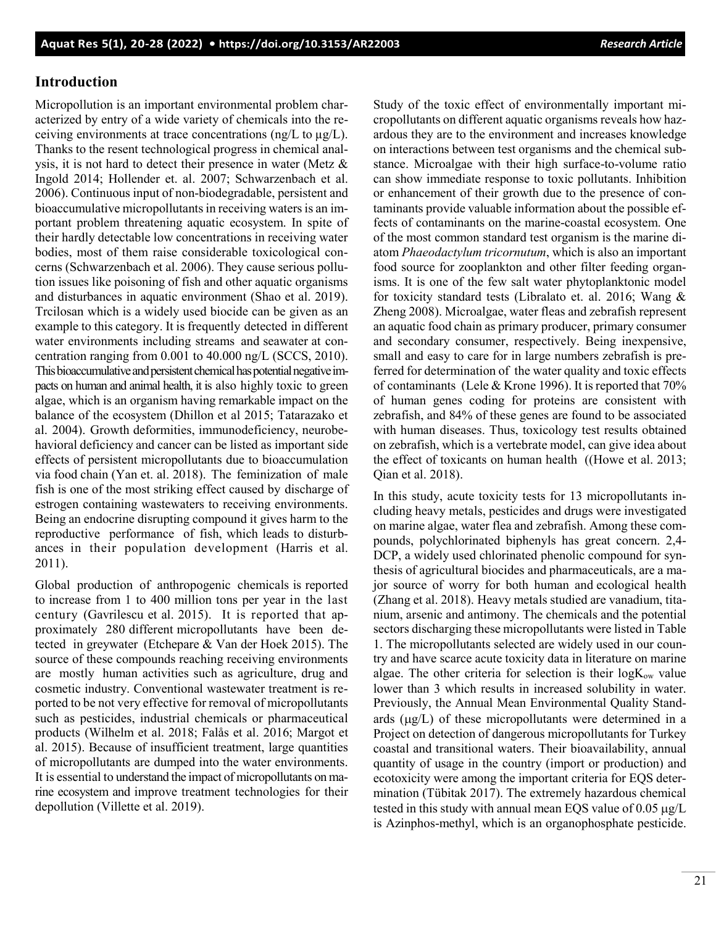## **Introduction**

Micropollution is an important environmental problem characterized by entry of a wide variety of chemicals into the receiving environments at trace concentrations (ng/L to  $\mu$ g/L). Thanks to the resent technological progress in chemical analysis, it is not hard to detect their presence in water (Metz & Ingold 2014; Hollender et. al. 2007; Schwarzenbach et al. 2006). Continuous input of non-biodegradable, persistent and bioaccumulative micropollutants in receiving waters is an important problem threatening aquatic ecosystem. In spite of their hardly detectable low concentrations in receiving water bodies, most of them raise considerable toxicological concerns (Schwarzenbach et al. 2006). They cause serious pollution issues like poisoning of fish and other aquatic organisms and disturbances in aquatic environment (Shao et al. 2019). Trcilosan which is a widely used biocide can be given as an example to this category. It is frequently detected in different water environments including streams and seawater at concentration ranging from 0.001 to 40.000 ng/L (SCCS, 2010). This bioaccumulative and persistent chemical haspotential negative impacts on human and animal health, it is also highly toxic to green algae, which is an organism having remarkable impact on the balance of the ecosystem (Dhillon et al 2015; Tatarazako et al. 2004). Growth deformities, immunodeficiency, neurobehavioral deficiency and cancer can be listed as important side effects of persistent micropollutants due to bioaccumulation via food chain (Yan et. al. 2018). The feminization of male fish is one of the most striking effect caused by discharge of estrogen containing wastewaters to receiving environments. Being an endocrine disrupting compound it gives harm to the reproductive performance of fish, which leads to disturbances in their population development (Harris et al. 2011).

Global production of anthropogenic chemicals is reported to increase from 1 to 400 million tons per year in the last century (Gavrilescu et al. 2015). It is reported that approximately 280 different micropollutants have been detected in greywater (Etchepare & Van der Hoek 2015). The source of these compounds reaching receiving environments are mostly human activities such as agriculture, drug and cosmetic industry. Conventional wastewater treatment is reported to be not very effective for removal of micropollutants such as pesticides, industrial chemicals or pharmaceutical products (Wilhelm et al. 2018; Falås et al. 2016; Margot et al. 2015). Because of insufficient treatment, large quantities of micropollutants are dumped into the water environments. It is essential to understand the impact of micropollutants on marine ecosystem and improve treatment technologies for their depollution (Villette et al. 2019).

Study of the toxic effect of environmentally important micropollutants on different aquatic organisms reveals how hazardous they are to the environment and increases knowledge on interactions between test organisms and the chemical substance. Microalgae with their high surface-to-volume ratio can show immediate response to toxic pollutants. Inhibition or enhancement of their growth due to the presence of contaminants provide valuable information about the possible effects of contaminants on the marine-coastal ecosystem. One of the most common standard test organism is the marine diatom *Phaeodactylum tricornutum*, which is also an important food source for zooplankton and other filter feeding organisms. It is one of the few salt water phytoplanktonic model for toxicity standard tests (Libralato et. al. 2016; Wang & Zheng 2008). Microalgae, water fleas and zebrafish represent an aquatic food chain as primary producer, primary consumer and secondary consumer, respectively. Being inexpensive, small and easy to care for in large numbers zebrafish is preferred for determination of the water quality and toxic effects of contaminants (Lele & Krone 1996). It is reported that 70% of human genes coding for proteins are consistent with zebrafish, and 84% of these genes are found to be associated with human diseases. Thus, toxicology test results obtained on zebrafish, which is a vertebrate model, can give idea about the effect of toxicants on human health ((Howe et al. 2013; Qian et al. 2018).

In this study, acute toxicity tests for 13 micropollutants including heavy metals, pesticides and drugs were investigated on marine algae, water flea and zebrafish. Among these compounds, polychlorinated biphenyls has great concern. 2,4- DCP, a widely used chlorinated phenolic [compound](about:blank) for synthesis of agricultural biocides and pharmaceuticals, are a major source of worry for both human and [ecological health](about:blank) (Zhang et al. 2018). Heavy metals studied are vanadium, titanium, arsenic and antimony. The chemicals and the potential sectors discharging these micropollutants were listed in Table 1. The micropollutants selected are widely used in our country and have scarce acute toxicity data in literature on marine algae. The other criteria for selection is their  $log K<sub>ow</sub>$  value lower than 3 which results in increased solubility in water. Previously, the Annual Mean Environmental Quality Standards (µg/L) of these micropollutants were determined in a Project on detection of dangerous micropollutants for Turkey coastal and transitional waters. Their bioavailability, annual quantity of usage in the country (import or production) and ecotoxicity were among the important criteria for EQS determination (Tübitak 2017). The extremely hazardous chemical tested in this study with annual mean EQS value of 0.05 µg/L is Azinphos-methyl, which is an organophosphate pesticide.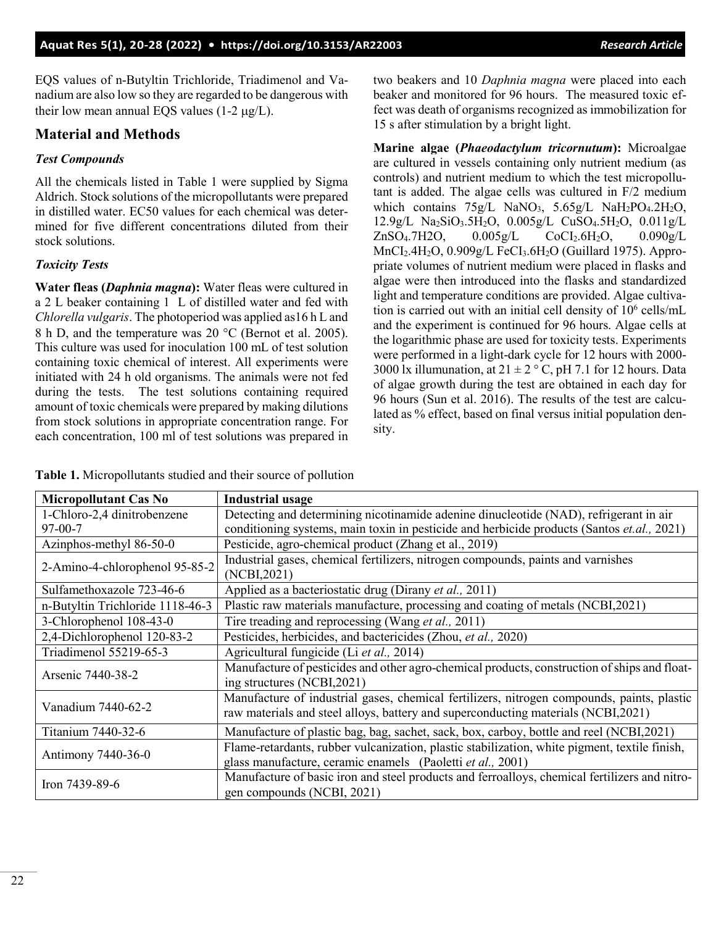EQS values of n-Butyltin Trichloride, Triadimenol and Vanadium are also low so they are regarded to be dangerous with their low mean annual EQS values  $(1-2 \mu g/L)$ .

## **Material and Methods**

## *Test Compounds*

All the chemicals listed in Table 1 were supplied by Sigma Aldrich. Stock solutions of the micropollutants were prepared in distilled water. EC50 values for each chemical was determined for five different concentrations diluted from their stock solutions.

## *Toxicity Tests*

**Water fleas (***Daphnia magna***):** Water fleas were cultured in a 2 L beaker containing 1 L of distilled water and fed with *Chlorella vulgaris*. The photoperiod was applied as16 h L and 8 h D, and the temperature was 20 °C (Bernot et al. 2005). This culture was used for inoculation 100 mL of test solution containing toxic chemical of interest. All experiments were initiated with 24 h old organisms. The animals were not fed during the tests. The test solutions containing required amount of toxic chemicals were prepared by making dilutions from stock solutions in appropriate concentration range. For each concentration, 100 ml of test solutions was prepared in

two beakers and 10 *Daphnia magna* were placed into each beaker and monitored for 96 hours. The measured toxic effect was death of organisms recognized as immobilization for 15 s after stimulation by a bright light.

**Marine algae (***Phaeodactylum tricornutum***):** Microalgae are cultured in vessels containing only nutrient medium (as controls) and nutrient medium to which the test micropollutant is added. The algae cells was cultured in F/2 medium which contains  $75g/L$  NaNO<sub>3</sub>,  $5.65g/L$  NaH<sub>2</sub>PO<sub>4</sub>.2H<sub>2</sub>O,  $12.9g/L$  Na<sub>2</sub>SiO<sub>3</sub>.5H<sub>2</sub>O, 0.005g/L CuSO<sub>4</sub>.5H<sub>2</sub>O, 0.011g/L ZnSO<sub>4</sub>.7H2O, 0.005g/L CoCI<sub>2</sub>.6H<sub>2</sub>O, 0.090g/L MnCI2.4H2O, 0.909g/L FeCI3.6H2O (Guillard 1975). Appropriate volumes of nutrient medium were placed in flasks and algae were then introduced into the flasks and standardized light and temperature conditions are provided. Algae cultivation is carried out with an initial cell density of 10<sup>6</sup> cells/mL and the experiment is continued for 96 hours. Algae cells at the logarithmic phase are used for toxicity tests. Experiments were performed in a light-dark cycle for 12 hours with 2000- 3000 lx illumunation, at  $21 \pm 2$  ° C, pH 7.1 for 12 hours. Data of algae growth during the test are obtained in each day for 96 hours (Sun et al. 2016). The results of the test are calculated as % effect, based on final versus initial population density.

| <b>Micropollutant Cas No</b>     | <b>Industrial usage</b>                                                                                                                                                         |  |  |
|----------------------------------|---------------------------------------------------------------------------------------------------------------------------------------------------------------------------------|--|--|
| 1-Chloro-2,4 dinitrobenzene      | Detecting and determining nicotinamide adenine dinucleotide (NAD), refrigerant in air                                                                                           |  |  |
| $97-00-7$                        | conditioning systems, main toxin in pesticide and herbicide products (Santos et.al., 2021)                                                                                      |  |  |
| Azinphos-methyl 86-50-0          | Pesticide, agro-chemical product (Zhang et al., 2019)                                                                                                                           |  |  |
| 2-Amino-4-chlorophenol 95-85-2   | Industrial gases, chemical fertilizers, nitrogen compounds, paints and varnishes                                                                                                |  |  |
|                                  | (NCBI, 2021)                                                                                                                                                                    |  |  |
| Sulfamethoxazole 723-46-6        | Applied as a bacteriostatic drug (Dirany et al., 2011)                                                                                                                          |  |  |
| n-Butyltin Trichloride 1118-46-3 | Plastic raw materials manufacture, processing and coating of metals (NCBI,2021)                                                                                                 |  |  |
| 3-Chlorophenol 108-43-0          | Tire treading and reprocessing (Wang et al., 2011)                                                                                                                              |  |  |
| 2,4-Dichlorophenol 120-83-2      | Pesticides, herbicides, and bactericides (Zhou, et al., 2020)                                                                                                                   |  |  |
| Triadimenol 55219-65-3           | Agricultural fungicide (Li et al., 2014)                                                                                                                                        |  |  |
| Arsenic 7440-38-2                | Manufacture of pesticides and other agro-chemical products, construction of ships and float-<br>ing structures (NCBI,2021)                                                      |  |  |
| Vanadium 7440-62-2               | Manufacture of industrial gases, chemical fertilizers, nitrogen compounds, paints, plastic<br>raw materials and steel alloys, battery and superconducting materials (NCBI,2021) |  |  |
| Titanium 7440-32-6               | Manufacture of plastic bag, bag, sachet, sack, box, carboy, bottle and reel (NCBI,2021)                                                                                         |  |  |
| Antimony 7440-36-0               | Flame-retardants, rubber vulcanization, plastic stabilization, white pigment, textile finish,                                                                                   |  |  |
|                                  | glass manufacture, ceramic enamels (Paoletti et al., 2001)                                                                                                                      |  |  |
| Iron $7439-89-6$                 | Manufacture of basic iron and steel products and ferroalloys, chemical fertilizers and nitro-                                                                                   |  |  |
|                                  | gen compounds (NCBI, 2021)                                                                                                                                                      |  |  |

**Table 1.** Micropollutants studied and their source of pollution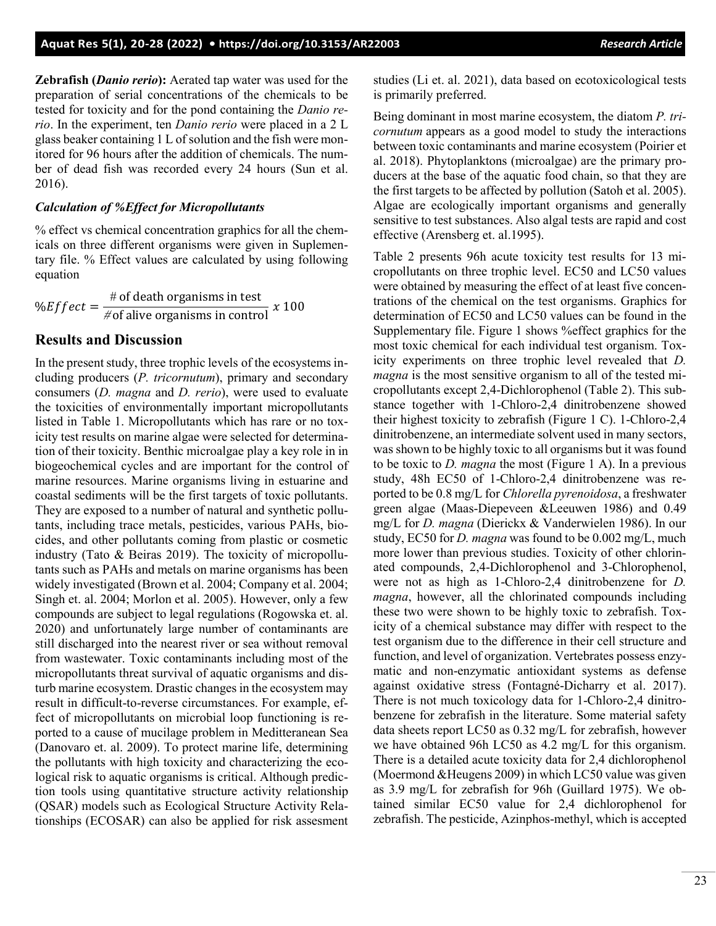**Zebrafish (***Danio rerio***):** Aerated tap water was used for the preparation of serial concentrations of the chemicals to be tested for toxicity and for the pond containing the *Danio rerio*. In the experiment, ten *Danio rerio* were placed in a 2 L glass beaker containing 1 L of solution and the fish were monitored for 96 hours after the addition of chemicals. The number of dead fish was recorded every 24 hours (Sun et al. 2016).

#### *Calculation of %Effect for Micropollutants*

% effect vs chemical concentration graphics for all the chemicals on three different organisms were given in Suplementary file. % Effect values are calculated by using following equation

%  $\%Effect = \frac{\# \text{ of death organisms in test}}{\# \text{ of alive organisms in control}} \times 100$ 

## **Results and Discussion**

In the present study, three [trophic levels](about:blank) of the ecosystems including producers (*P. tricornutum*), primary and secondary consumers (*D. magna* and *D. rerio*), were used to evaluate the toxicities of environmentally important micropollutants listed in Table 1. Micropollutants which has rare or no toxicity test results on marine algae were selected for determination of their toxicity. Benthic [microalgae](about:blank) play a key role in in [biogeochemical cycles](about:blank) and are important for the control of marine resources. Marine organisms living in estuarine and coastal sediments will be the first targets of toxic pollutants. They are exposed to a number of natural and synthetic pollutants, including trace metals, pesticides, various PAHs, biocides, and other pollutants coming from plastic or cosmetic industry (Tato & Beiras 2019). The toxicity of micropollutants such as PAHs and metals on marine organisms has been widely investigated (Brown et al. 2004; Company et al. 2004; Singh et. al. 2004; Morlon et al. 2005). However, only a few compounds are subject to legal regulations (Rogowska et. al. 2020) and unfortunately large number of contaminants are still discharged into the nearest river or sea without removal from wastewater. Toxic contaminants including most of the micropollutants threat survival of aquatic organisms and disturb marine ecosystem. Drastic changes in the ecosystem may result in difficult-to-reverse circumstances. For example, effect of micropollutants on microbial loop functioning is reported to a cause of mucilage problem in Meditteranean Sea (Danovaro et. al. 2009). To protect marine life, determining the pollutants with high toxicity and characterizing the ecological risk to aquatic organisms is critical. Although prediction tools using quantitative structure activity relationship (QSAR) models such as Ecological Structure Activity Relationships (ECOSAR) can also be applied for risk assesment

studies (Li et. al. 2021), data based on ecotoxicological tests is primarily preferred.

Being dominant in most marine ecosystem, the [diatom](about:blank) *P. tricornutum* appears as a good model to study the interactions between toxic contaminants and marine ecosystem (Poirier et al. 2018). Phytoplanktons (microalgae) are the primary producers at the base of the aquatic food chain, so that they are the first targets to be affected by pollution (Satoh et al. 2005). Algae are ecologically important organisms and generally sensitive to test substances. Also algal tests are rapid and cost effective (Arensberg et. al.1995).

Table 2 presents 96h acute toxicity test results for 13 micropollutants on three trophic level. EC50 and LC50 values were obtained by measuring the effect of at least five concentrations of the chemical on the test organisms. Graphics for determination of EC50 and LC50 values can be found in the Supplementary file. Figure 1 shows %effect graphics for the most toxic chemical for each individual test organism. Toxicity experiments on three trophic level revealed that *D. magna* is the most sensitive organism to all of the tested micropollutants except 2,4-Dichlorophenol (Table 2). This substance together with 1-Chloro-2,4 dinitrobenzene showed their highest toxicity to zebrafish (Figure 1 C). 1-Chloro-2,4 dinitrobenzene, an intermediate solvent used in many sectors, was shown to be highly toxic to all organisms but it was found to be toxic to *D. magna* the most (Figure 1 A). In a previous study, 48h EC50 of 1-Chloro-2,4 dinitrobenzene was reported to be 0.8 mg/L for *Chlorella pyrenoidosa*, a freshwater green algae (Maas-Diepeveen &Leeuwen 1986) and 0.49 mg/L for *D. magna* (Dierickx & Vanderwielen 1986). In our study, EC50 for *D. magna* was found to be 0.002 mg/L, much more lower than previous studies. Toxicity of other chlorinated compounds, 2,4-Dichlorophenol and 3-Chlorophenol, were not as high as 1-Chloro-2,4 dinitrobenzene for *D. magna*, however, all the chlorinated compounds including these two were shown to be highly toxic to zebrafish. Toxicity of a chemical substance may differ with respect to the test organism due to the difference in their cell structure and function, and level of organization. Vertebrates possess enzymatic and non-enzymatic antioxidant systems as defense against oxidative stress (Fontagné-Dicharry et al. 2017). There is not much toxicology data for 1-Chloro-2,4 dinitrobenzene for zebrafish in the literature. Some material safety data sheets report LC50 as 0.32 mg/L for zebrafish, however we have obtained 96h LC50 as 4.2 mg/L for this organism. There is a detailed acute toxicity data for 2,4 dichlorophenol (Moermond &Heugens 2009) in which LC50 value was given as 3.9 mg/L for zebrafish for 96h (Guillard 1975). We obtained similar EC50 value for 2,4 dichlorophenol for zebrafish. The pesticide, Azinphos-methyl, which is accepted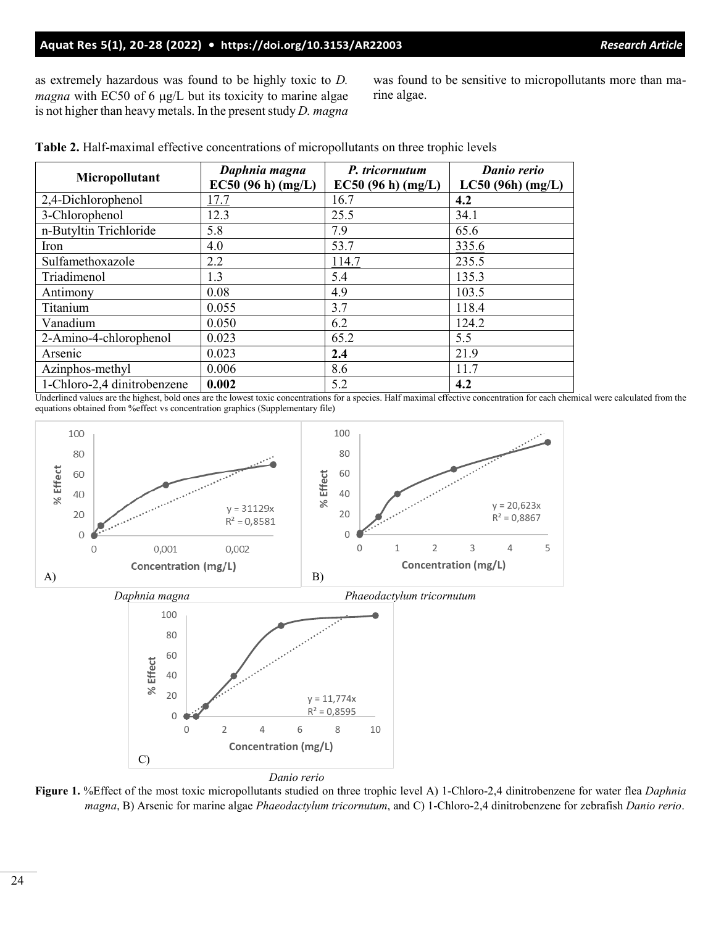## **Aquat Res 5(1), 20-28 (2022) • <https://doi.org/10.3153/AR22003>***Research Article*

as extremely hazardous was found to be highly toxic to *D. magna* with EC50 of 6 μg/L but its toxicity to marine algae is not higher than heavy metals. In the present study *D. magna* was found to be sensitive to micropollutants more than marine algae.

| Micropollutant              | Daphnia magna     | P. tricornutum   | Danio rerio      |
|-----------------------------|-------------------|------------------|------------------|
|                             | EC50(96 h) (mg/L) | EC50(96 h)(mg/L) | LC50(96h) (mg/L) |
| 2,4-Dichlorophenol          | 17.7              | 16.7             | 4.2              |
| 3-Chlorophenol              | 12.3              | 25.5             | 34.1             |
| n-Butyltin Trichloride      | 5.8               | 7.9              | 65.6             |
| Iron                        | 4.0               | 53.7             | 335.6            |
| Sulfamethoxazole            | 2.2               | 114.7            | 235.5            |
| Triadimenol                 | 1.3               | 5.4              | 135.3            |
| Antimony                    | 0.08              | 4.9              | 103.5            |
| Titanium                    | 0.055             | 3.7              | 118.4            |
| Vanadium                    | 0.050             | 6.2              | 124.2            |
| 2-Amino-4-chlorophenol      | 0.023             | 65.2             | 5.5              |
| Arsenic                     | 0.023             | 2.4              | 21.9             |
| Azinphos-methyl             | 0.006             | 8.6              | 11.7             |
| 1-Chloro-2,4 dinitrobenzene | 0.002             | 5.2              | 4.2              |

**Table 2.** Half-maximal effective concentrations of micropollutants on three trophic levels

Underlined values are the highest, bold ones are the lowest toxic concentrations for a species. Half maximal effective concentration for each chemical were calculated from the equations obtained from %effect vs concentration graphics (Supplementary file)



**Figure 1.** %Effect of the most toxic micropollutants studied on three trophic level A) 1-Chloro-2,4 dinitrobenzene for water flea *Daphnia magna*, B) Arsenic for marine algae *Phaeodactylum tricornutum*, and C) 1-Chloro-2,4 dinitrobenzene for zebrafish *Danio rerio*.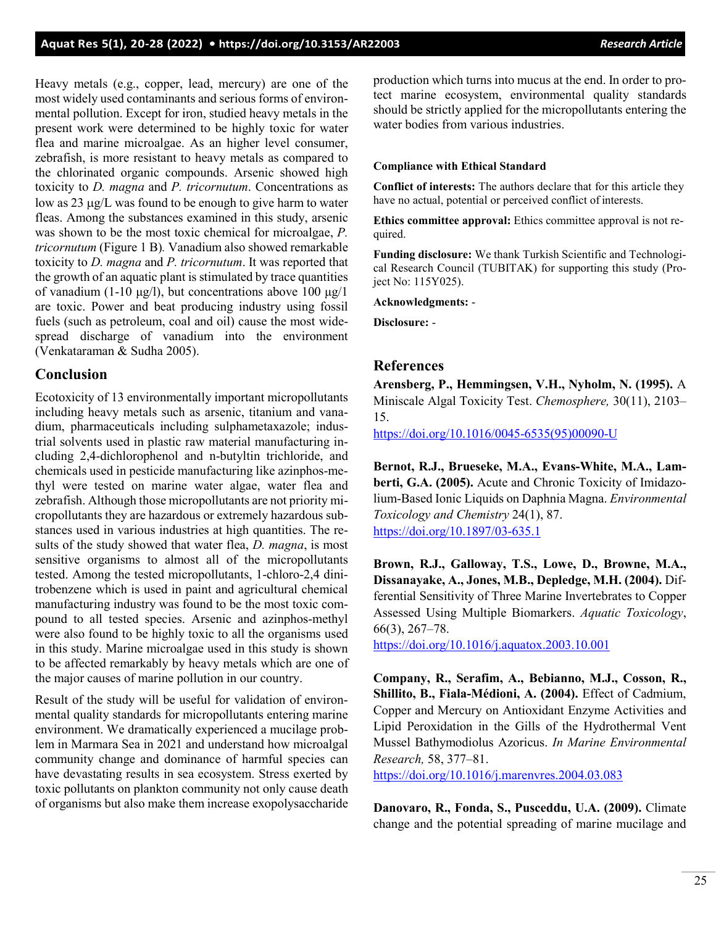Heavy metals (e.g., copper, lead, mercury) are one of the most widely used contaminants and serious forms of environmental pollution. Except for iron, studied heavy metals in the present work were determined to be highly toxic for water flea and marine microalgae. As an higher level consumer, zebrafish, is more resistant to heavy metals as compared to the chlorinated organic compounds. Arsenic showed high toxicity to *D. magna* and *P. tricornutum*. Concentrations as low as 23 µg/L was found to be enough to give harm to water fleas. Among the substances examined in this study, arsenic was shown to be the most toxic chemical for microalgae, *P. tricornutum* (Figure 1 B)*.* Vanadium also showed remarkable toxicity to *D. magna* and *P. tricornutum*. It was reported that the growth of an aquatic plant is stimulated by trace quantities of vanadium (1-10 μg/l), but concentrations above 100 μg/l are toxic. Power and beat producing industry using fossil fuels (such as petroleum, coal and oil) cause the most widespread discharge of vanadium into the environment (Venkataraman & Sudha 2005).

## **Conclusion**

Ecotoxicity of 13 environmentally important micropollutants including heavy metals such as arsenic, titanium and vanadium, pharmaceuticals including sulphametaxazole; industrial solvents used in plastic raw material manufacturing including 2,4-dichlorophenol and n-butyltin trichloride, and chemicals used in pesticide manufacturing like azinphos-methyl were tested on marine water algae, water flea and zebrafish. Although those micropollutants are not priority micropollutants they are hazardous or extremely hazardous substances used in various industries at high quantities. The results of the study showed that water flea, *D. magna*, is most sensitive organisms to almost all of the micropollutants tested. Among the tested micropollutants, 1-chloro-2,4 dinitrobenzene which is used in paint and agricultural chemical manufacturing industry was found to be the most toxic compound to all tested species. Arsenic and azinphos-methyl were also found to be highly toxic to all the organisms used in this study. Marine microalgae used in this study is shown to be affected remarkably by heavy metals which are one of the major causes of marine pollution in our country.

Result of the study will be useful for validation of environmental quality standards for micropollutants entering marine environment. We dramatically experienced a mucilage problem in Marmara Sea in 2021 and understand how microalgal community change and dominance of harmful species can have devastating results in sea ecosystem. Stress exerted by toxic pollutants on plankton community not only cause death of organisms but also make them increase exopolysaccharide

production which turns into mucus at the end. In order to protect marine ecosystem, environmental quality standards should be strictly applied for the micropollutants entering the water bodies from various industries.

#### **Compliance with Ethical Standard**

**Conflict of interests:** The authors declare that for this article they have no actual, potential or perceived conflict of interests.

**Ethics committee approval:** Ethics committee approval is not required.

**Funding disclosure:** We thank Turkish Scientific and Technological Research Council (TUBITAK) for supporting this study (Project No: 115Y025).

**Acknowledgments:** -

**Disclosure:** -

## **References**

**Arensberg, P., Hemmingsen, V.H., Nyholm, N. (1995).** A Miniscale Algal Toxicity Test. *Chemosphere,* 30(11), 2103– 15.

[https://doi.org/10.1016/0045](https://doi.org/10.1016/0045-6535(95)00090-U)-6535(95)00090-U

**Bernot, R.J., Brueseke, M.A., Evans-White, M.A., Lamberti, G.A. (2005).** Acute and Chronic Toxicity of Imidazolium-Based Ionic Liquids on Daphnia Magna. *Environmental Toxicology and Chemistry* 24(1), 87. [https://doi.org/10.1897/03](https://doi.org/10.1897/03-635.1)-635.1

**Brown, R.J., Galloway, T.S., Lowe, D., Browne, M.A., Dissanayake, A., Jones, M.B., Depledge, M.H. (2004).** Differential Sensitivity of Three Marine Invertebrates to Copper Assessed Using Multiple Biomarkers. *Aquatic Toxicology*, 66(3), 267–78.

<https://doi.org/10.1016/j.aquatox.2003.10.001>

**Company, R., Serafim, A., Bebianno, M.J., Cosson, R., Shillito, B., Fiala-Médioni, A. (2004).** Effect of Cadmium, Copper and Mercury on Antioxidant Enzyme Activities and Lipid Peroxidation in the Gills of the Hydrothermal Vent Mussel Bathymodiolus Azoricus. *In Marine Environmental Research,* 58, 377–81.

<https://doi.org/10.1016/j.marenvres.2004.03.083>

**Danovaro, R., Fonda, S., Pusceddu, U.A. (2009).** Climate change and the potential spreading of marine mucilage and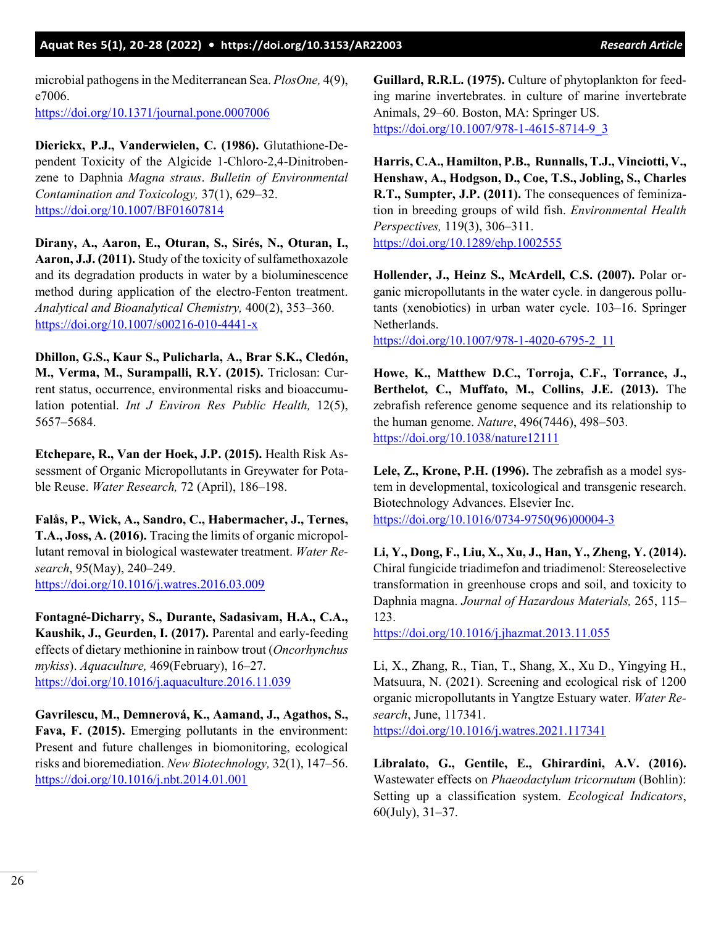## **Aquat Res 5(1), 20-28 (2022) • <https://doi.org/10.3153/AR22003>***Research Article*

microbial pathogens in the Mediterranean Sea. *PlosOne,* 4(9), e7006. <https://doi.org/10.1371/journal.pone.0007006>

**Dierickx, P.J., Vanderwielen, C. (1986).** Glutathione-Dependent Toxicity of the Algicide 1-Chloro-2,4-Dinitrobenzene to Daphnia *Magna straus*. *Bulletin of Environmental Contamination and Toxicology,* 37(1), 629–32. <https://doi.org/10.1007/BF01607814>

**Dirany, A., Aaron, E., Oturan, S., Sirés, N., Oturan, I., Aaron, J.J. (2011).** Study of the toxicity of sulfamethoxazole and its degradation products in water by a bioluminescence method during application of the electro-Fenton treatment. *Analytical and Bioanalytical Chemistry,* 400(2), 353–360. [https://doi.org/10.1007/s00216](https://doi.org/10.1007/s00216-010-4441-x)-010-4441-x

**Dhillon, G.S., Kaur S., Pulicharla, A., Brar S.K., Cledón, M., Verma, M., Surampalli, R.Y. (2015).** Triclosan: Current status, occurrence, environmental risks and bioaccumulation potential. *Int J Environ Res Public Health,* 12(5), 5657–5684.

**Etchepare, R., Van der Hoek, J.P. (2015).** Health Risk Assessment of Organic Micropollutants in Greywater for Potable Reuse. *Water Research,* 72 (April), 186–198.

**Falås, P., Wick, A., Sandro, C., Habermacher, J., Ternes, T.A., Joss, A. (2016).** Tracing the limits of organic micropollutant removal in biological wastewater treatment. *Water Research*, 95(May), 240–249. <https://doi.org/10.1016/j.watres.2016.03.009>

**Fontagné-Dicharry, S., Durante, Sadasivam, H.A., C.A., Kaushik, J., Geurden, I. (2017).** Parental and early-feeding effects of dietary methionine in rainbow trout (*Oncorhynchus mykiss*). *Aquaculture,* 469(February), 16–27. <https://doi.org/10.1016/j.aquaculture.2016.11.039>

**Gavrilescu, M., Demnerová, K., Aamand, J., Agathos, S., Fava, F. (2015).** Emerging pollutants in the environment: Present and future challenges in biomonitoring, ecological risks and bioremediation. *New Biotechnology,* 32(1), 147–56. <https://doi.org/10.1016/j.nbt.2014.01.001>

**Guillard, R.R.L. (1975).** Culture of phytoplankton for feeding marine invertebrates. in culture of marine invertebrate Animals, 29–60. Boston, MA: Springer US. [https://doi.org/10.1007/978](https://doi.org/10.1007/978-1-4615-8714-9_3)-1-4615-8714-9\_3

**Harris, C.A., Hamilton, P.B., Runnalls, T.J., Vinciotti, V., Henshaw, A., Hodgson, D., Coe, T.S., Jobling, S., Charles R.T., Sumpter, J.P. (2011).** The consequences of feminization in breeding groups of wild fish. *Environmental Health Perspectives,* 119(3), 306–311. <https://doi.org/10.1289/ehp.1002555>

**Hollender, J., Heinz S., McArdell, C.S. (2007).** Polar organic micropollutants in the water cycle. in dangerous pollutants (xenobiotics) in urban water cycle. 103–16. Springer Netherlands.

[https://doi.org/10.1007/978](https://doi.org/10.1007/978-1-4020-6795-2_11)-1-4020-6795-2\_11

**Howe, K., Matthew D.C., Torroja, C.F., Torrance, J., Berthelot, C., Muffato, M., Collins, J.E. (2013).** The zebrafish reference genome sequence and its relationship to the human genome. *Nature*, 496(7446), 498–503. <https://doi.org/10.1038/nature12111>

**Lele, Z., Krone, P.H. (1996).** The zebrafish as a model system in developmental, toxicological and transgenic research. Biotechnology Advances. Elsevier Inc. [https://doi.org/10.1016/0734](https://doi.org/10.1016/0734-9750(96)00004-3)-9750(96)00004-3

**Li, Y., Dong, F., Liu, X., Xu, J., Han, Y., Zheng, Y. (2014).** Chiral fungicide triadimefon and triadimenol: Stereoselective transformation in greenhouse crops and soil, and toxicity to Daphnia magna. *Journal of Hazardous Materials,* 265, 115– 123.

<https://doi.org/10.1016/j.jhazmat.2013.11.055>

Li, X., Zhang, R., Tian, T., Shang, X., Xu D., Yingying H., Matsuura, N. (2021). Screening and ecological risk of 1200 organic micropollutants in Yangtze Estuary water. *Water Research*, June, 117341.

<https://doi.org/10.1016/j.watres.2021.117341>

**Libralato, G., Gentile, E., Ghirardini, A.V. (2016).** Wastewater effects on *Phaeodactylum tricornutum* (Bohlin): Setting up a classification system. *Ecological Indicators*, 60(July), 31–37.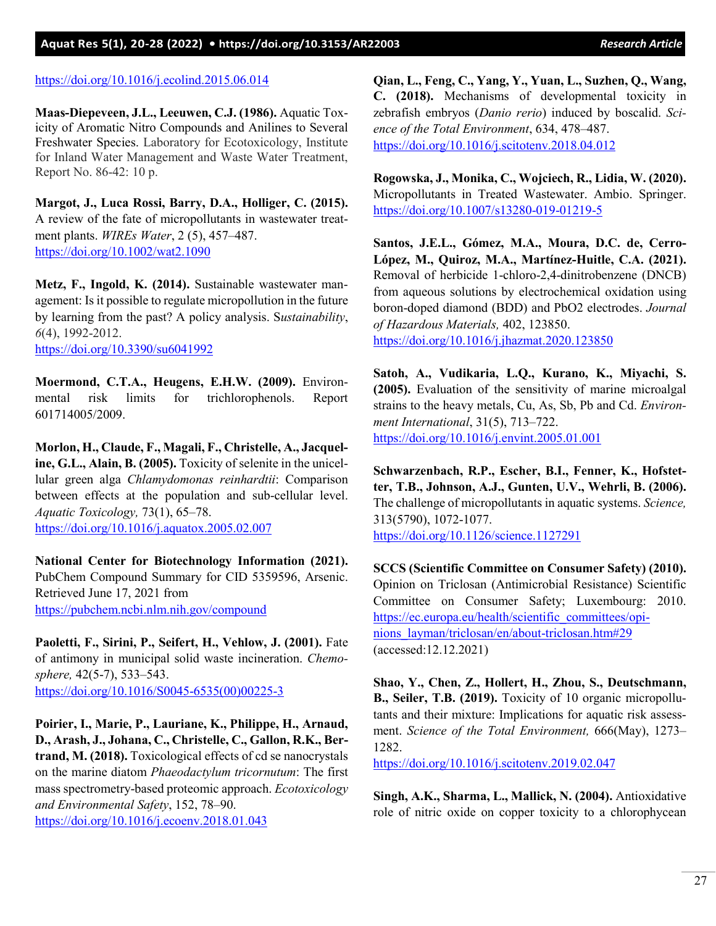## **Aquat Res 5(1), 20-28 (2022) •<https://doi.org/10.3153/AR22003>***Research Article*

#### <https://doi.org/10.1016/j.ecolind.2015.06.014>

**Maas-Diepeveen, J.L., Leeuwen, C.J. (1986).** Aquatic Toxicity of Aromatic Nitro Compounds and Anilines to Several Freshwater Species. Laboratory for Ecotoxicology, Institute for Inland Water Management and Waste Water Treatment, Report No. 86-42: 10 p.

**Margot, J., Luca Rossi, Barry, D.A., Holliger, C. (2015).** A review of the fate of micropollutants in wastewater treatment plants. *WIREs Water*, 2 (5), 457–487. <https://doi.org/10.1002/wat2.1090>

**Metz, F., Ingold, K. (2014).** Sustainable wastewater management: Is it possible to regulate micropollution in the future by learning from the past? A policy analysis. S*ustainability*, *6*(4), 1992-2012. <https://doi.org/10.3390/su6041992>

**Moermond, C.T.A., Heugens, E.H.W. (2009).** Environmental risk limits for trichlorophenols. Report 601714005/2009.

**Morlon, H., Claude, F., Magali, F., Christelle, A., Jacqueline, G.L., Alain, B. (2005).** Toxicity of selenite in the unicellular green alga *Chlamydomonas reinhardtii*: Comparison between effects at the population and sub-cellular level. *Aquatic Toxicology,* 73(1), 65–78. <https://doi.org/10.1016/j.aquatox.2005.02.007>

**National Center for Biotechnology Information (2021).** PubChem Compound Summary for CID 5359596, Arsenic. Retrieved June 17, 2021 from <https://pubchem.ncbi.nlm.nih.gov/compound>

**Paoletti, F., Sirini, P., Seifert, H., Vehlow, J. (2001).** Fate of antimony in municipal solid waste incineration. *Chemosphere,* 42(5-7), 533–543. [https://doi.org/10.1016/S0045](https://doi.org/10.1016/S0045-6535(00)00225-3)-6535(00)00225-3

**Poirier, I., Marie, P., Lauriane, K., Philippe, H., Arnaud, D., Arash, J., Johana, C., Christelle, C., Gallon, R.K., Bertrand, M. (2018).** Toxicological effects of cd se nanocrystals on the marine diatom *Phaeodactylum tricornutum*: The first mass spectrometry-based proteomic approach. *Ecotoxicology and Environmental Safety*, 152, 78–90.

<https://doi.org/10.1016/j.ecoenv.2018.01.043>

**Qian, L., Feng, C., Yang, Y., Yuan, L., Suzhen, Q., Wang, C. (2018).** Mechanisms of developmental toxicity in zebrafish embryos (*Danio rerio*) induced by boscalid. *Science of the Total Environment*, 634, 478–487. <https://doi.org/10.1016/j.scitotenv.2018.04.012>

**Rogowska, J., Monika, C., Wojciech, R., Lidia, W. (2020).** Micropollutants in Treated Wastewater. Ambio. Springer. [https://doi.org/10.1007/s13280](https://doi.org/10.1007/s13280-019-01219-5)-019-01219-5

**Santos, J.E.L., Gómez, M.A., Moura, D.C. de, Cerro-López, M., Quiroz, M.A., Martínez-Huitle, C.A. (2021).** Removal of herbicide 1-chloro-2,4-dinitrobenzene (DNCB) from aqueous solutions by electrochemical oxidation using boron-doped diamond (BDD) and PbO2 electrodes. *Journal of Hazardous Materials,* 402, 123850. <https://doi.org/10.1016/j.jhazmat.2020.123850>

**Satoh, A., Vudikaria, L.Q., Kurano, K., Miyachi, S. (2005).** Evaluation of the sensitivity of marine microalgal strains to the heavy metals, Cu, As, Sb, Pb and Cd. *Environment International*, 31(5), 713–722. <https://doi.org/10.1016/j.envint.2005.01.001>

**Schwarzenbach, R.P., Escher, B.I., Fenner, K., Hofstetter, T.B., Johnson, A.J., Gunten, U.V., Wehrli, B. (2006).** The challenge of micropollutants in aquatic systems. *Science,*  313(5790), 1072-1077.

<https://doi.org/10.1126/science.1127291>

**SCCS (Scientific Committee on Consumer Safety) (2010).** Opinion on Triclosan (Antimicrobial Resistance) Scientific Committee on Consumer Safety; Luxembourg: 2010. [https://ec.europa.eu/health/scientific\\_committees/opi](https://ec.europa.eu/health/scientific_committees/opinions_layman/triclosan/en/about-triclosan.htm#29)[nions\\_layman/triclosan/en/about](https://ec.europa.eu/health/scientific_committees/opinions_layman/triclosan/en/about-triclosan.htm#29)-triclosan.htm#29 (accessed:12.12.2021)

**Shao, Y., Chen, Z., Hollert, H., Zhou, S., Deutschmann, B., Seiler, T.B. (2019).** Toxicity of 10 organic micropollutants and their mixture: Implications for aquatic risk assessment. *Science of the Total Environment,* 666(May), 1273– 1282.

<https://doi.org/10.1016/j.scitotenv.2019.02.047>

**Singh, A.K., Sharma, L., Mallick, N. (2004).** Antioxidative role of nitric oxide on copper toxicity to a chlorophycean